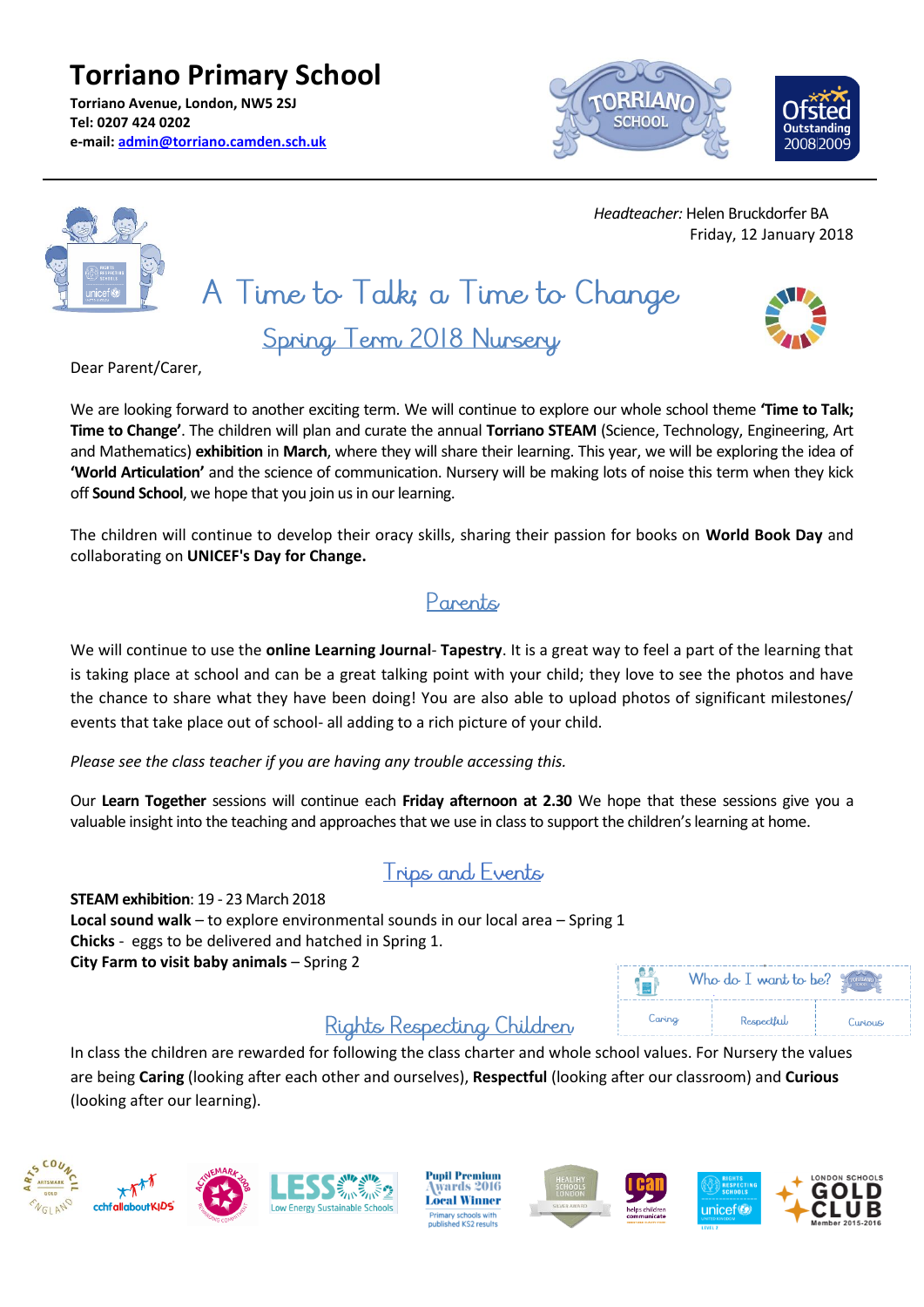**Torriano Primary School Torriano Avenue, London, NW5 2SJ Tel: 0207 424 0202 e-mail: [admin@torriano.camden.sch.uk](mailto:admin@torriano.camden.sch.uk)**





 *Headteacher:* Helen Bruckdorfer BA Friday, 12 January 2018

# A Time to Talk; a Time to Change





We are looking forward to another exciting term. We will continue to explore our whole school theme **'Time to Talk; Time to Change'**. The children will plan and curate the annual **Torriano STEAM** (Science, Technology, Engineering, Art and Mathematics) **exhibition** in **March**, where they will share their learning. This year, we will be exploring the idea of **'World Articulation'** and the science of communication. Nursery will be making lots of noise this term when they kick off **Sound School**, we hope that you join us in our learning.

The children will continue to develop their oracy skills, sharing their passion for books on **World Book Day** and collaborating on **UNICEF's Day for Change.**

#### Parents

We will continue to use the **online Learning Journal**- **Tapestry**. It is a great way to feel a part of the learning that is taking place at school and can be a great talking point with your child; they love to see the photos and have the chance to share what they have been doing! You are also able to upload photos of significant milestones/ events that take place out of school- all adding to a rich picture of your child.

*Please see the class teacher if you are having any trouble accessing this.*

Our **Learn Together** sessions will continue each **Friday afternoon at 2.30** We hope that these sessions give you a valuable insight into the teaching and approaches that we use in class to support the children's learning at home.

#### Trips and Events

**STEAM exhibition**: 19 - 23 March 2018 **Local sound walk** – to explore environmental sounds in our local area – Spring 1 **Chicks** - eggs to be delivered and hatched in Spring 1. **City Farm to visit baby animals** – Spring 2

#### Who do I want to be? 1 s i Caring Respectful Curious

### Rights Respecting Children

In class the children are rewarded for following the class charter and whole school values. For Nursery the values are being **Caring** (looking after each other and ourselves), **Respectful** (looking after our classroom) and **Curious** (looking after our learning).





**Pupil Premium** wards 2016 **Local Winner** Primary schools with<br>Jublished KS2 results